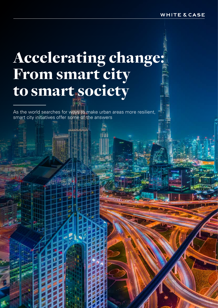# Accelerating change: From smart city to smart society

As the world searches for ways to make urban areas more resilient, smart city initiatives offer some of the answers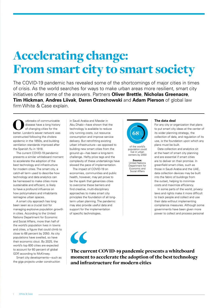# Accelerating change: From smart city to smart society

The COVID-19 pandemic has revealed some of the shortcomings of major cities in times of crisis. As the world searches for ways to make urban areas more resilient, smart city initiatives offer some of the answers. Partners **Oliver Brettle**, **Nicholas Greenacre**, **Tim Hickman**, **Andres Liivak**, **Daren Orzechowski** and **Adam Pierson** of global law firm White & Case explain.

Outbreaks of communicable<br>
disease have a long history<br>
better. London's sewer network was disease have a long history of changing cities for the constructed following the cholera epidemic in the 1850s, and building ventilation standards improved after the Spanish flu in 1918.

The current COVID-19 pandemic presents a similar whiteboard moment to accelerate the adoption of the best technology and infrastructure for modern cities. The smart city, a catch-all term used to describe how technology and data analytics can be harnessed to make cities more sustainable and efficient, is likely to have a profound influence on how policymakers and inhabitants reimagine urban spaces.

A smart city approach has long been seen as a crucial tool for managing explosive population growth in cities. According to the United Nations Department for Economic and Social Affairs, more than half of the world's population lives in towns and cities, a figure that could climb to close to 68 percent by 2050. As city populations have swelled, so have their economic clout. By 2025, the world's top 600 cities are expected to account for 60 percent of global GDP, according to McKinsey.

Smart city developments—such as the giga projects under construction

in Saudi Arabia and Masdar in Abu Dhabi—have shown that the technology is available to reduce city running costs, cut resource consumption and improve service delivery. But retrofitting existing urban infrastructure—as opposed to building new smart cities from the ground up—has been a long-term challenge. Hefty price tags and the complexity of these undertakings have slowed the pace of implementation.

The impact of COVID-19 on economies, communities and public health, however, may yet prove to be the spark that galvanizes cities to overcome these barriers and find creative, multi-disciplinary approaches to make smart city principles the foundation of all longterm urban planning. The pandemic may also provide useful data and support for the implementation of specific technologies.

# 68

of the world's population could live in urban centers by 2050

**Source:** United Nations Department for Economic and Social Affairs

#### **The data deal**

For any city or organization that plans to put smart city ideas at the center of its wider planning strategy, the collection of data, and regulation of its use, is the foundation upon which any plans must be built.

Data collection and analytics sit at the heart of smart city planning and are essential if smart cities are to deliver on their promise. In greenfield smart cities, such as those in Saudi Arabia and the UAE, data collection devices may be built into the fabric of buildings from the outset, helping to minimize costs and maximize efficiency.

In some parts of the world, privacy laws and rights make it more difficult to track people and collect and use their data without implementing compliance measures. Although some governments have been given more power to collect and process personal

 $\epsilon$ 

The current COVID-19 pandemic presents a whiteboard moment to accelerate the adoption of the best technology and infrastructure for modern cities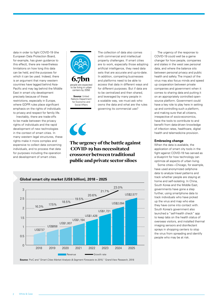data in order to fight COVID-19 (the European Data Protection Board, for example, has given guidance to this effect), there are nevertheless limitations on how long this data can be held, and the purposes for which it can be used. Indeed, there is an argument that many western countries have lagged behind Asia-Pacific and may lag behind the Middle East in smart city development precisely because of these restrictions, especially in Europe, where GDPR rules place significant emphasis on the rights of individuals to privacy and respect for family life.

Inevitably, there are trade-offs to be made between the privacy rights of individuals and the rapid development of new technologies in the context of smart cities. In many western legal structures, these rights make it more complex and expensive to collect data concerning individuals, and to process that data for purposes including the operation and development of smart cities.



**Source:** United Nations Department for Economic and Social Affairs

The collection of data also comes with commercial and intellectual property challenges. If smart cities are to work, especially those adopting artificial intelligence, they need data sets that are accurate and up-to-date. In addition, competing businesses and platforms need to be able to access that data in different ways and for different purposes. But if data are to be centralized and then shared, and leveraged by many people in a scalable way, we must ask who owns the data and what are the rules governing its commercial use?



## The urgency of the battle against COVID-19 has necessitated crossover between traditional public and private sector siloes



The urgency of the response to COVID-19 could well be a game changer for how people, companies and states in the west see personal data, and where the balance sits between personal privacy and public health and safety. The impact of the virus may also focus minds and speed up cooperation between private companies and government when it comes to sharing data and putting it on an appropriately controlled opensource platform. Government could have a key role to play here in setting up and controlling such a platform, and making sure that all citizens, irrespective of socio-economics, have the tools to contribute to and benefit from data-driven knowledge of infection rates, healthcare, digital health and telemedicine provision.

#### **Embracing change**

When the data is available, the application of smart city tools in the fight against COVID-19 has served as a blueprint for how technology can optimize all aspects of urban living.

Some cities—Chicago, for example, have used anonymized cellphone data to analyze travel patterns and track whether people are staying at home and self-isolating. In China, South Korea and the Middle East, governments have gone a step further, using smartphone data to track individuals who have picked up the virus and map who else they have come into contact with. South Korea's government also launched a "self-health check" app to keep tabs on the health status of overseas visitors, and installed thermal imaging sensors and disinfectant sprays in shopping centers to stop the virus from spreading and identify people who may be at risk.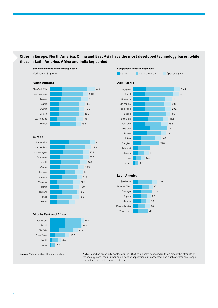## **Cities in Europe, North America, China and East Asia have the most developed technology bases, while those in Latin America, Africa and India lag behind**



Nairobi Lagos 6.4

3.2

**Source**: McKinsey Global Institute analysis **Note:** Based on smart city deployment in 50 cities globally, assessed in three areas: the strength of technology base; the number and extent of applications implemented; and public awareness, usage and satisfaction with the applications

25.0 24.3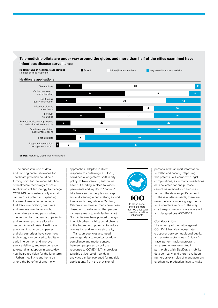#### **Telemedicine pilots are under way around the globe, and more than half of the cities examined have infectious disease surveillance**



**Source**: McKinsey Global Institute analysis

The successful use of data and tracking personal devices for healthcare provision could be a turning point for the wider adoption of healthcare technology at scale. Applications of technology to manage COVID-19 demonstrate only a small picture of its potential. Expanding the use of wearable technology that tracks respiration, heart rate and temperature, for example, can enable early and personalized intervention for thousands of patients and improve resource allocation beyond times of crisis. Healthcare agencies, insurance companies and city authorities have seen how technology can be used to facilitate early intervention and improve service delivery, and may be ready to expand its adoption in day-to-day healthcare provision for the long-term.

Urban mobility is another area where the benefits of smart city

approaches, adopted in direct response to containing COVID-19, could see a longer-term shift in city policy. In New Zealand, authorities have put funding in place to widen pavements and lay down "pop-up" bike lanes so that people can keep social distancing when walking around towns and cities; while in Oakland, California, 74 miles of roads have been closed off to vehicles so that people can use streets to walk farther apart. Such initiatives have pointed to ways in which urban mobility could change in the future, with potential to reduce congestion and improve air quality.

Transport agencies also used passenger data to monitor lockdown compliance and model contact between people as part of the response to COVID-19. This provides tangible evidence of how data analytics can be leveraged for multiple applications, from the provision of



there are more than 100 cities with more than a million inhabitants

personalized transport information to traffic and parking. Capturing this potential will come with legal complications, as in many jurisdictions data collected for one purpose cannot be retained for other uses without the data subject's consent.

These obstacles aside, there are nevertheless compelling arguments for a complete rethink of the way city transport networks are operated and designed post-COVID-19.

#### **Collaboration**

The urgency of the battle against COVID-19 has also necessitated crossover between traditional public, and private sector siloes. Chicago's travel pattern tracking program, for example, was executed in partnership with BlueDot, a mobility data company, and there have been numerous examples of manufacturers overhauling production lines to make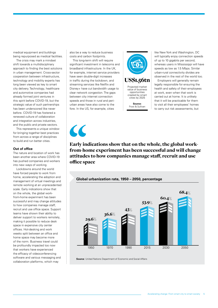medical equipment and buildings being repurposed as medical facilities.

The crisis may mark a mindset shift towards a multidisciplinary approach to finding the best solutions in urban management. Cross-sector cooperation between infrastructure, technology and mobility experts has long been viewed as key to smart city delivery. Technology, healthcare and automotive companies had already formed joint ventures in this spirit before COVID-19, but the strategic value of such partnerships has been underscored like never before. COVID-19 has fostered a renewed culture of collaboration and integration across industries, and the public and private sectors.

This represents a unique window for bringing together best practices from across a range of disciplines to build and run better cities.

#### **Out of office**

The nature and location of work has been another area where COVID-19 has pushed companies and workers into new ways of working.

Lockdowns around the world have forced people to work from home, accelerating the adoption and management of virtual meetings and remote working at an unprecedented scale. Early indications show that on the whole, the global workfrom-home experiment has been successful and may change attitudes to how companies manage staff, recruit and use office space. Support teams have shown their ability to deliver support to workers remotely, making it possible to reduce desk space in expensive city center offices. Hot-desking and work weeks split between an office and home space may become more of the norm. Business travel could be profoundly impacted too now that workers have experienced the efficacy of videoconferencing software and various messaging and collaboration platforms, which may

also be a way to reduce business costs and carbon footprints.

This long-term shift will require significant investment in telecoms and broadband infrastructure. In the UK, for example, internet service providers have seen double-digit increases in traffic during the lockdown, and streaming services like Netflix and Disney+ have cut bandwidth usage to clear network congestion. The gaps between city internet connection speeds and those in rural and periurban areas have also come to the fore. In the US, for example, cities



**Source:** Frost & Sullivan

like New York and Washington, DC will typically enjoy connection speeds of up to 10 gigabits per second, whereas users in Mississippi will have speeds as low as 1.5 Mbps. Similar urban-rural connectivity divides are observed in the rest of the world too.

Employers will generally remain legally responsible for ensuring the health and safety of their employees at work, even when that work is carried out at home. It is unlikely that it will be practicable for them to visit all their employees' homes to carry out risk assessments, but

 $\epsilon$ 

Early indications show that on the whole, the global workfrom-home experiment has been successful and will change attitudes to how companies manage staff, recruit and use office space



**Source**: United Nations Department of Economic and Social Affairs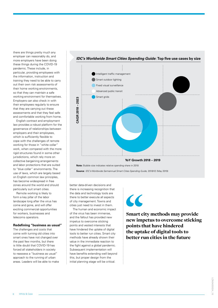there are things pretty much any employer can reasonably do, and more employers have been doing these things during the COVID-19 pandemic. These include, in particular, providing employees with the information, instruction and training they need to be able to carry out their own risk assessments of their home working environments, so that they can maintain a safe working environment for themselves. Employers can also check in with their employees regularly to ensure that they are carrying out these assessments and that they feel safe and comfortable working from home.

English contract and employment law provides a robust platform for the governance of relationships between employers and their employees, which is sufficiently flexible to cope with the challenges of remote working for those in "white collar" work, when compared with the more rigid structures found in some other jurisdictions, which rely more on collective bargaining arrangements and labor protections that are suited to "blue collar" environments. The use of laws, which are largely based on English common law principles, has become widespread in free zones around the world and should particularly suit smart cities.

Remote working is likely to form a key pillar of the labor landscape long after the virus has come and gone, and will offer exciting commercial opportunities for workers, businesses and telecoms operators.

#### **Redefining "business as usual"**

The challenges and costs that come with turning old cities into smart ones have not changed over the past few months, but there is little doubt that COVID-19 has forced all stakeholders in society to reassess a "business as usual" approach to the running of urban areas. Leaders will be able to make



**Note:** Bubble size indicates relative spending share in 2018

**Source**: *IDC's Worldwide Semiannual Smart Cities Spending Guide*, 2018H2 (May 2019)

better data-driven decisions and there is increasing recognition that the data and technology tools are there to better execute all aspects of city management. Towns and cities just need to invest in them.

The human and economic impact of the virus has been immense, and the fallout has provided new impetus to overcome sticking points and vested interests that have hindered the uptake of digital tools to better run cities. Smart city methods have already shown their value in the immediate reaction to the fight against a global pandemic. Subsequent implementation will have benefits extending well beyond this, but proper design from the initial planning stage will be critical.

# $\overline{\mathcal{C}}$

Smart city methods may provide new impetus to overcome sticking points that have hindered the uptake of digital tools to better run cities in the future